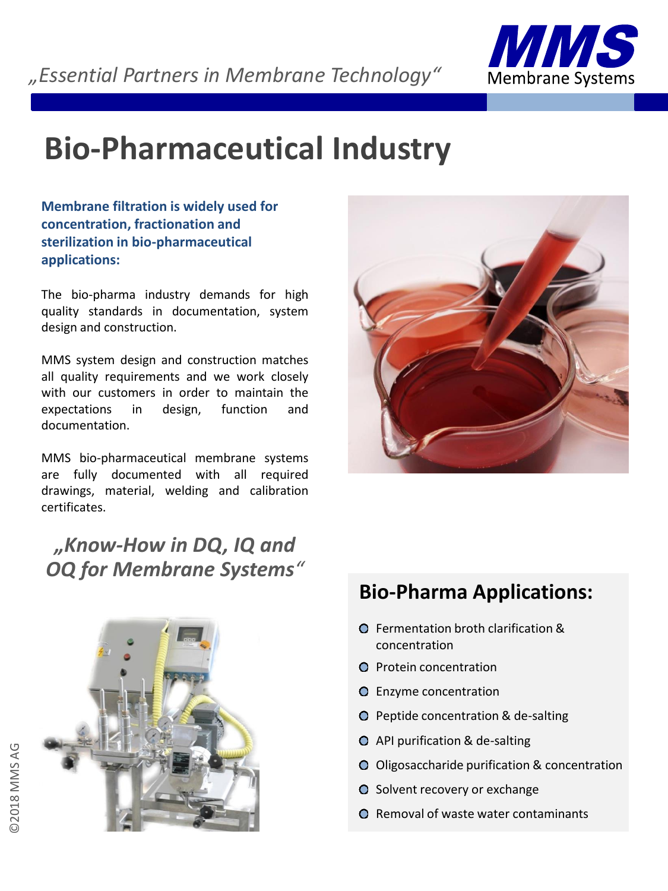

# **Bio-Pharmaceutical Industry**

**Membrane filtration is widely used for concentration, fractionation and sterilization in bio-pharmaceutical applications:**

The bio-pharma industry demands for high quality standards in documentation, system design and construction.

MMS system design and construction matches all quality requirements and we work closely with our customers in order to maintain the expectations in design, function and documentation.

MMS bio-pharmaceutical membrane systems are fully documented with all required drawings, material, welding and calibration certificates.

*"Know-How in DQ, IQ and OQ for Membrane Systems"*





## **Bio-Pharma Applications:**

- **O** Fermentation broth clarification & concentration
- **O** Protein concentration
- Enzyme concentration
- **O** Peptide concentration & de-salting
- API purification & de-salting
- O Oligosaccharide purification & concentration
- O Solvent recovery or exchange
- **Q** Removal of waste water contaminants